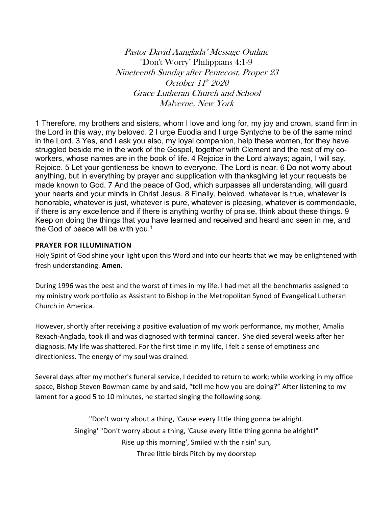Pastor David Aanglada' Message Outline "Don't Worry" Philippians 4:1-9 Nineteenth Sunday after Pentecost, Proper 23 October  $11<sup>th</sup> 2020$ Grace Lutheran Church and School Malverne, New York

1 Therefore, my brothers and sisters, whom I love and long for, my joy and crown, stand firm in the Lord in this way, my beloved. 2 I urge Euodia and I urge Syntyche to be of the same mind in the Lord. 3 Yes, and I ask you also, my loyal companion, help these women, for they have struggled beside me in the work of the Gospel, together with Clement and the rest of my coworkers, whose names are in the book of life. 4 Rejoice in the Lord always; again, I will say, Rejoice. 5 Let your gentleness be known to everyone. The Lord is near. 6 Do not worry about anything, but in everything by prayer and supplication with thanksgiving let your requests be made known to God. 7 And the peace of God, which surpasses all understanding, will guard your hearts and your minds in Christ Jesus. 8 Finally, beloved, whatever is true, whatever is honorable, whatever is just, whatever is pure, whatever is pleasing, whatever is commendable, if there is any excellence and if there is anything worthy of praise, think about these things. 9 Keep on doing the things that you have learned and received and heard and seen in me, and the God of peace will be with you.<sup>1</sup>

## **PRAYER FOR ILLUMINATION**

Holy Spirit of God shine your light upon this Word and into our hearts that we may be enlightened with fresh understanding. **Amen.**

During 1996 was the best and the worst of times in my life. I had met all the benchmarks assigned to my ministry work portfolio as Assistant to Bishop in the Metropolitan Synod of Evangelical Lutheran Church in America.

However, shortly after receiving a positive evaluation of my work performance, my mother, Amalia Rexach-Anglada, took ill and was diagnosed with terminal cancer. She died several weeks after her diagnosis. My life was shattered. For the first time in my life, I felt a sense of emptiness and directionless. The energy of my soul was drained.

Several days after my mother's funeral service, I decided to return to work; while working in my office space, Bishop Steven Bowman came by and said, "tell me how you are doing?" After listening to my lament for a good 5 to 10 minutes, he started singing the following song:

> "Don't worry about a thing, 'Cause every little thing gonna be alright. Singing' "Don't worry about a thing, 'Cause every little thing gonna be alright!" Rise up this morning', Smiled with the risin' sun, Three little birds Pitch by my doorstep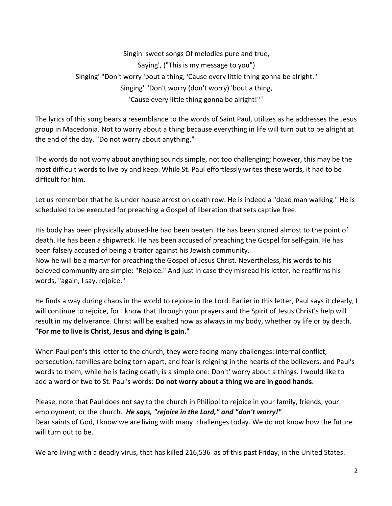Singin' sweet songs Of melodies pure and true, Saying', ("This is my message to you") Singing' "Don't worry 'bout a thing, 'Cause every little thing gonna be alright." Singing' "Don't worry (don't worry) 'bout a thing, 'Cause every little thing gonna be alright!" <sup>2</sup>

The lyrics of this song bears a resemblance to the words of Saint Paul, utilizes as he addresses the Jesus group in Macedonia. Not to worry about a thing because everything in life will turn out to be alright at the end of the day. "Do not worry about anything."

The words do not worry about anything sounds simple, not too challenging; however, this may be the most difficult words to live by and keep. While St. Paul effortlessly writes these words, it had to be difficult for him.

Let us remember that he is under house arrest on death row. He is indeed a "dead man walking." He is scheduled to be executed for preaching a Gospel of liberation that sets captive free.

His body has been physically abused-he had been beaten. He has been stoned almost to the point of death. He has been a shipwreck. He has been accused of preaching the Gospel for self-gain. He has been falsely accused of being a traitor against his Jewish community.

Now he will be a martyr for preaching the Gospel of Jesus Christ. Nevertheless, his words to his beloved community are simple: "Rejoice." And just in case they misread his letter, he reaffirms his words, "again, I say, rejoice."

He finds a way during chaos in the world to rejoice in the Lord. Earlier in this letter, Paul says it clearly, I will continue to rejoice, for I know that through your prayers and the Spirit of Jesus Christ's help will result in my deliverance. Christ will be exalted now as always in my body, whether by life or by death. **"For me to live is Christ, Jesus and dying is gain."** 

When Paul pen's this letter to the church, they were facing many challenges: internal conflict, persecution, families are being torn apart, and fear is reigning in the hearts of the believers; and Paul's words to them, while he is facing death, is a simple one: Don't' worry about a things. I would like to add a word or two to St. Paul's words: **Do not worry about a thing we are in good hands**.

Please, note that Paul does not say to the church in Philippi to rejoice in your family, friends, your employment, or the church. *He says, "rejoice in the Lord," and "don't worry!"* Dear saints of God, I know we are living with many challenges today. We do not know how the future will turn out to be.

We are living with a deadly virus, that has killed 216,536 as of this past Friday, in the United States.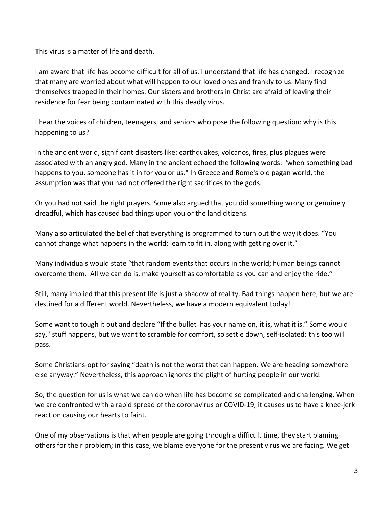This virus is a matter of life and death.

I am aware that life has become difficult for all of us. I understand that life has changed. I recognize that many are worried about what will happen to our loved ones and frankly to us. Many find themselves trapped in their homes. Our sisters and brothers in Christ are afraid of leaving their residence for fear being contaminated with this deadly virus.

I hear the voices of children, teenagers, and seniors who pose the following question: why is this happening to us?

In the ancient world, significant disasters like; earthquakes, volcanos, fires, plus plagues were associated with an angry god. Many in the ancient echoed the following words: "when something bad happens to you, someone has it in for you or us." In Greece and Rome's old pagan world, the assumption was that you had not offered the right sacrifices to the gods.

Or you had not said the right prayers. Some also argued that you did something wrong or genuinely dreadful, which has caused bad things upon you or the land citizens.

Many also articulated the belief that everything is programmed to turn out the way it does. "You cannot change what happens in the world; learn to fit in, along with getting over it."

Many individuals would state "that random events that occurs in the world; human beings cannot overcome them. All we can do is, make yourself as comfortable as you can and enjoy the ride."

Still, many implied that this present life is just a shadow of reality. Bad things happen here, but we are destined for a different world. Nevertheless, we have a modern equivalent today!

Some want to tough it out and declare "If the bullet has your name on, it is, what it is." Some would say, "stuff happens, but we want to scramble for comfort, so settle down, self-isolated; this too will pass.

Some Christians-opt for saying "death is not the worst that can happen. We are heading somewhere else anyway." Nevertheless, this approach ignores the plight of hurting people in our world.

So, the question for us is what we can do when life has become so complicated and challenging. When we are confronted with a rapid spread of the coronavirus or COVID-19, it causes us to have a knee-jerk reaction causing our hearts to faint.

One of my observations is that when people are going through a difficult time, they start blaming others for their problem; in this case, we blame everyone for the present virus we are facing. We get